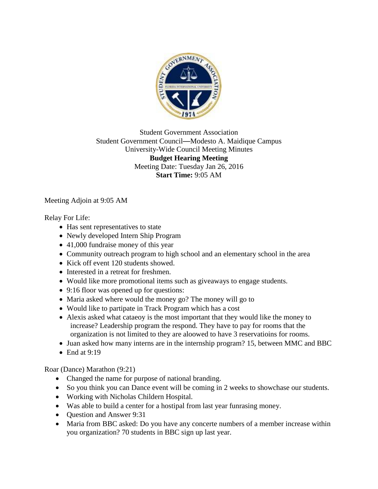

Student Government Association Student Government Council—Modesto A. Maidique Campus University-Wide Council Meeting Minutes **Budget Hearing Meeting** Meeting Date: Tuesday Jan 26, 2016 **Start Time:** 9:05 AM

Meeting Adjoin at 9:05 AM

Relay For Life:

- Has sent representatives to state
- Newly developed Intern Ship Program
- 41,000 fundraise money of this year
- Community outreach program to high school and an elementary school in the area
- Kick off event 120 students showed.
- Interested in a retreat for freshmen.
- Would like more promotional items such as giveaways to engage students.
- 9:16 floor was opened up for questions:
- Maria asked where would the money go? The money will go to
- Would like to partipate in Track Program which has a cost
- Alexis asked what cataeoy is the most important that they would like the money to increase? Leadership program the respond. They have to pay for rooms that the organization is not limited to they are aloowed to have 3 reservatioins for rooms.
- Juan asked how many interns are in the internship program? 15, between MMC and BBC
- End at  $9:19$

Roar (Dance) Marathon (9:21)

- Changed the name for purpose of national branding.
- So you think you can Dance event will be coming in 2 weeks to showchase our students.
- Working with Nicholas Childern Hospital.
- Was able to build a center for a hostipal from last year funrasing money.
- Question and Answer 9:31
- Maria from BBC asked: Do you have any concerte numbers of a member increase within you organization? 70 students in BBC sign up last year.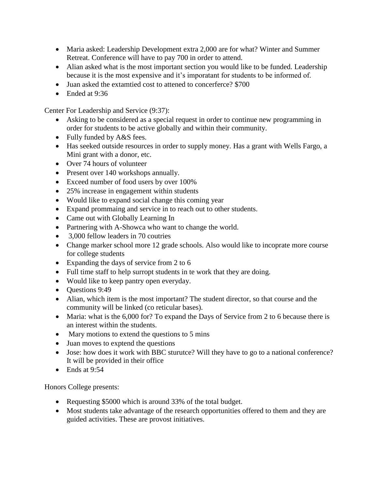- Maria asked: Leadership Development extra 2,000 are for what? Winter and Summer Retreat. Conference will have to pay 700 in order to attend.
- Alian asked what is the most important section you would like to be funded. Leadership because it is the most expensive and it's imporatant for students to be informed of.
- Juan asked the extamtied cost to attened to concerferce? \$700
- Ended at  $9.36$

Center For Leadership and Service (9:37):

- Asking to be considered as a special request in order to continue new programming in order for students to be active globally and within their community.
- Fully funded by A&S fees.
- Has seeked outside resources in order to supply money. Has a grant with Wells Fargo, a Mini grant with a donor, etc.
- Over 74 hours of volunteer
- Present over 140 workshops annually.
- Exceed number of food users by over 100%
- 25% increase in engagement within students
- Would like to expand social change this coming year
- Expand prommaing and service in to reach out to other students.
- Came out with Globally Learning In
- Partnering with A-Showca who want to change the world.
- 3,000 fellow leaders in 70 coutries
- Change marker school more 12 grade schools. Also would like to incoprate more course for college students
- Expanding the days of service from 2 to 6
- Full time staff to help surropt students in te work that they are doing.
- Would like to keep pantry open everyday.
- Ouestions 9:49
- Alian, which item is the most important? The student director, so that course and the community will be linked (co reticular bases).
- Maria: what is the 6,000 for? To expand the Days of Service from 2 to 6 because there is an interest within the students.
- Mary motions to extend the questions to 5 mins
- Juan moves to exptend the questions
- Jose: how does it work with BBC sturuter? Will they have to go to a national conference? It will be provided in their office
- Ends at  $9:54$

Honors College presents:

- Requesting \$5000 which is around 33% of the total budget.
- Most students take advantage of the research opportunities offered to them and they are guided activities. These are provost initiatives.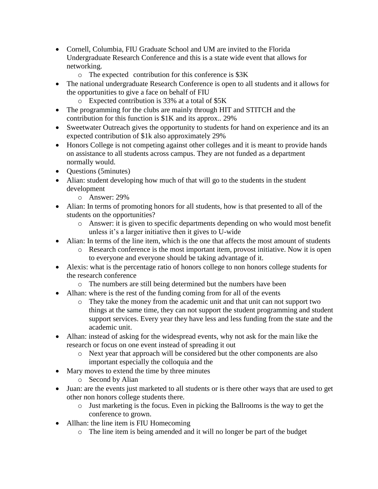- Cornell, Columbia, FIU Graduate School and UM are invited to the Florida Undergraduate Research Conference and this is a state wide event that allows for networking.
	- o The expected contribution for this conference is \$3K
- The national undergraduate Research Conference is open to all students and it allows for the opportunities to give a face on behalf of FIU
	- o Expected contribution is 33% at a total of \$5K
- The programming for the clubs are mainly through HIT and STITCH and the contribution for this function is \$1K and its approx.. 29%
- Sweetwater Outreach gives the opportunity to students for hand on experience and its an expected contribution of \$1k also approximately 29%
- Honors College is not competing against other colleges and it is meant to provide hands on assistance to all students across campus. They are not funded as a department normally would.
- Questions (5minutes)
- Alian: student developing how much of that will go to the students in the student development
	- o Answer: 29%
- Alian: In terms of promoting honors for all students, how is that presented to all of the students on the opportunities?
	- o Answer: it is given to specific departments depending on who would most benefit unless it's a larger initiative then it gives to U-wide
- Alian: In terms of the line item, which is the one that affects the most amount of students
	- o Research conference is the most important item, provost initiative. Now it is open to everyone and everyone should be taking advantage of it.
- Alexis: what is the percentage ratio of honors college to non honors college students for the research conference
	- o The numbers are still being determined but the numbers have been
- Alhan: where is the rest of the funding coming from for all of the events
	- o They take the money from the academic unit and that unit can not support two things at the same time, they can not support the student programming and student support services. Every year they have less and less funding from the state and the academic unit.
- Alhan: instead of asking for the widespread events, why not ask for the main like the research or focus on one event instead of spreading it out
	- o Next year that approach will be considered but the other components are also important especially the colloquia and the
- Mary moves to extend the time by three minutes
	- o Second by Alian
- Juan: are the events just marketed to all students or is there other ways that are used to get other non honors college students there.
	- o Just marketing is the focus. Even in picking the Ballrooms is the way to get the conference to grown.
- Allhan: the line item is FIU Homecoming
	- o The line item is being amended and it will no longer be part of the budget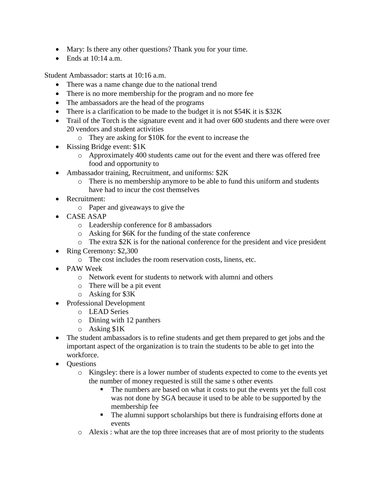- Mary: Is there any other questions? Thank you for your time.
- Ends at  $10:14$  a.m.

Student Ambassador: starts at 10:16 a.m.

- There was a name change due to the national trend
- There is no more membership for the program and no more fee
- The ambassadors are the head of the programs
- There is a clarification to be made to the budget it is not \$54K it is \$32K
- Trail of the Torch is the signature event and it had over 600 students and there were over 20 vendors and student activities
	- o They are asking for \$10K for the event to increase the
- Kissing Bridge event: \$1K
	- o Approximately 400 students came out for the event and there was offered free food and opportunity to
- Ambassador training, Recruitment, and uniforms:  $$2K$ 
	- o There is no membership anymore to be able to fund this uniform and students have had to incur the cost themselves
- Recruitment:
	- o Paper and giveaways to give the
- CASE ASAP
	- o Leadership conference for 8 ambassadors
	- o Asking for \$6K for the funding of the state conference
	- o The extra \$2K is for the national conference for the president and vice president
- Ring Ceremony: \$2,300
	- o The cost includes the room reservation costs, linens, etc.
- PAW Week
	- o Network event for students to network with alumni and others
	- o There will be a pit event
	- o Asking for \$3K
- Professional Development
	- o LEAD Series
	- o Dining with 12 panthers
	- o Asking \$1K
- The student ambassadors is to refine students and get them prepared to get jobs and the important aspect of the organization is to train the students to be able to get into the workforce.
- Questions
	- o Kingsley: there is a lower number of students expected to come to the events yet the number of money requested is still the same s other events
		- The numbers are based on what it costs to put the events yet the full cost was not done by SGA because it used to be able to be supported by the membership fee
		- The alumni support scholarships but there is fundraising efforts done at events
	- $\circ$  Alexis : what are the top three increases that are of most priority to the students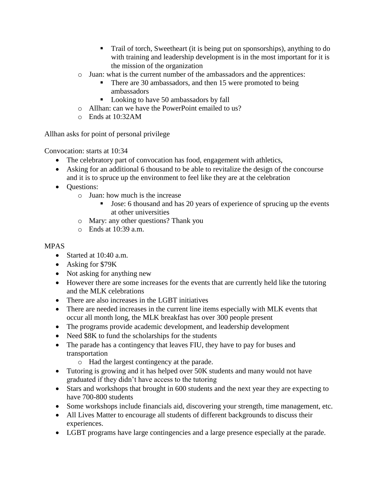- Trail of torch, Sweetheart (it is being put on sponsorships), anything to do with training and leadership development is in the most important for it is the mission of the organization
- o Juan: what is the current number of the ambassadors and the apprentices:
	- There are 30 ambassadors, and then 15 were promoted to being ambassadors
	- Looking to have 50 ambassadors by fall
- o Allhan: can we have the PowerPoint emailed to us?
- o Ends at 10:32AM

Allhan asks for point of personal privilege

Convocation: starts at 10:34

- The celebratory part of convocation has food, engagement with athletics,
- Asking for an additional 6 thousand to be able to revitalize the design of the concourse and it is to spruce up the environment to feel like they are at the celebration
- Questions:
	- o Juan: how much is the increase
		- Jose: 6 thousand and has 20 years of experience of sprucing up the events at other universities
	- o Mary: any other questions? Thank you
	- o Ends at 10:39 a.m.

# MPAS

- Started at 10:40 a.m.
- Asking for \$79K
- Not asking for anything new
- However there are some increases for the events that are currently held like the tutoring and the MLK celebrations
- There are also increases in the LGBT initiatives
- There are needed increases in the current line items especially with MLK events that occur all month long, the MLK breakfast has over 300 people present
- The programs provide academic development, and leadership development
- Need  $$8K$  to fund the scholarships for the students
- The parade has a contingency that leaves FIU, they have to pay for buses and transportation
	- o Had the largest contingency at the parade.
- Tutoring is growing and it has helped over 50K students and many would not have graduated if they didn't have access to the tutoring
- Stars and workshops that brought in 600 students and the next year they are expecting to have 700-800 students
- Some workshops include financials aid, discovering your strength, time management, etc.
- All Lives Matter to encourage all students of different backgrounds to discuss their experiences.
- LGBT programs have large contingencies and a large presence especially at the parade.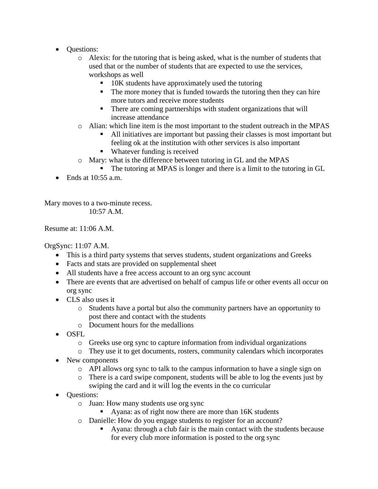- **Ouestions:** 
	- o Alexis: for the tutoring that is being asked, what is the number of students that used that or the number of students that are expected to use the services, workshops as well
		- 10K students have approximately used the tutoring
		- The more money that is funded towards the tutoring then they can hire more tutors and receive more students
		- There are coming partnerships with student organizations that will increase attendance
	- o Alian: which line item is the most important to the student outreach in the MPAS
		- All initiatives are important but passing their classes is most important but feeling ok at the institution with other services is also important
		- Whatever funding is received
	- o Mary: what is the difference between tutoring in GL and the MPAS
		- The tutoring at MPAS is longer and there is a limit to the tutoring in GL
- Ends at  $10:55$  a.m.

Mary moves to a two-minute recess. 10:57 A.M.

Resume at: 11:06 A.M.

OrgSync: 11:07 A.M.

- This is a third party systems that serves students, student organizations and Greeks
- Facts and stats are provided on supplemental sheet
- All students have a free access account to an org sync account
- There are events that are advertised on behalf of campus life or other events all occur on org sync
- CLS also uses it
	- o Students have a portal but also the community partners have an opportunity to post there and contact with the students
	- $\circ$  Document hours for the medallions
- OSFL
	- o Greeks use org sync to capture information from individual organizations
	- o They use it to get documents, rosters, community calendars which incorporates
- New components
	- o API allows org sync to talk to the campus information to have a single sign on
	- o There is a card swipe component, students will be able to log the events just by swiping the card and it will log the events in the co curricular
- **Ouestions:** 
	- o Juan: How many students use org sync
		- Ayana: as of right now there are more than 16K students
	- o Danielle: How do you engage students to register for an account?
		- Ayana: through a club fair is the main contact with the students because for every club more information is posted to the org sync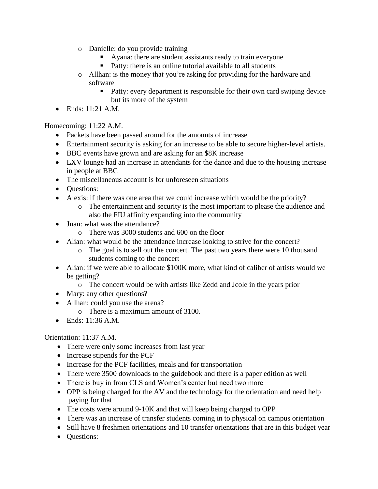- o Danielle: do you provide training
	- Ayana: there are student assistants ready to train everyone
	- Patty: there is an online tutorial available to all students
- o Allhan: is the money that you're asking for providing for the hardware and software
	- Patty: every department is responsible for their own card swiping device but its more of the system
- Ends: 11:21 A.M.

## Homecoming: 11:22 A.M.

- Packets have been passed around for the amounts of increase
- Entertainment security is asking for an increase to be able to secure higher-level artists.
- BBC events have grown and are asking for an \$8K increase
- LXV lounge had an increase in attendants for the dance and due to the housing increase in people at BBC
- The miscellaneous account is for unforeseen situations
- **Ouestions:**
- Alexis: if there was one area that we could increase which would be the priority?
	- o The entertainment and security is the most important to please the audience and also the FIU affinity expanding into the community
- Juan: what was the attendance?
	- o There was 3000 students and 600 on the floor
- Alian: what would be the attendance increase looking to strive for the concert?
	- o The goal is to sell out the concert. The past two years there were 10 thousand students coming to the concert
- Alian: if we were able to allocate \$100K more, what kind of caliber of artists would we be getting?
	- o The concert would be with artists like Zedd and Jcole in the years prior
- Mary: any other questions?
- Allhan: could you use the arena?
	- $\circ$  There is a maximum amount of 3100.
- Ends: 11:36 A.M.

## Orientation: 11:37 A.M.

- There were only some increases from last year
- Increase stipends for the PCF
- Increase for the PCF facilities, meals and for transportation
- There were 3500 downloads to the guidebook and there is a paper edition as well
- There is buy in from CLS and Women's center but need two more
- OPP is being charged for the AV and the technology for the orientation and need help paying for that
- The costs were around 9-10K and that will keep being charged to OPP
- There was an increase of transfer students coming in to physical on campus orientation
- Still have 8 freshmen orientations and 10 transfer orientations that are in this budget year
- **Ouestions:**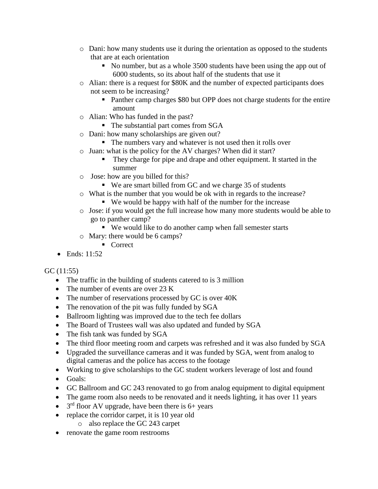- o Dani: how many students use it during the orientation as opposed to the students that are at each orientation
	- No number, but as a whole 3500 students have been using the app out of 6000 students, so its about half of the students that use it
- o Alian: there is a request for \$80K and the number of expected participants does not seem to be increasing?
	- Panther camp charges \$80 but OPP does not charge students for the entire amount
- o Alian: Who has funded in the past?
	- The substantial part comes from SGA
- o Dani: how many scholarships are given out?
	- The numbers vary and whatever is not used then it rolls over
- o Juan: what is the policy for the AV charges? When did it start?
	- They charge for pipe and drape and other equipment. It started in the summer
- o Jose: how are you billed for this?
	- We are smart billed from GC and we charge 35 of students
- o What is the number that you would be ok with in regards to the increase?
	- We would be happy with half of the number for the increase
- o Jose: if you would get the full increase how many more students would be able to go to panther camp?
	- We would like to do another camp when fall semester starts
- o Mary: there would be 6 camps?
	- Correct
- Ends: 11:52

## GC (11:55)

- The traffic in the building of students catered to is 3 million
- The number of events are over 23 K
- The number of reservations processed by GC is over  $40K$
- The renovation of the pit was fully funded by SGA
- Ballroom lighting was improved due to the tech fee dollars
- The Board of Trustees wall was also updated and funded by SGA
- The fish tank was funded by SGA
- The third floor meeting room and carpets was refreshed and it was also funded by SGA
- Upgraded the surveillance cameras and it was funded by SGA, went from analog to digital cameras and the police has access to the footage
- Working to give scholarships to the GC student workers leverage of lost and found
- Goals:
- GC Ballroom and GC 243 renovated to go from analog equipment to digital equipment
- The game room also needs to be renovated and it needs lighting, it has over 11 years
- $3<sup>rd</sup>$  floor AV upgrade, have been there is 6+ years
- replace the corridor carpet, it is 10 year old
	- o also replace the GC 243 carpet
- renovate the game room restrooms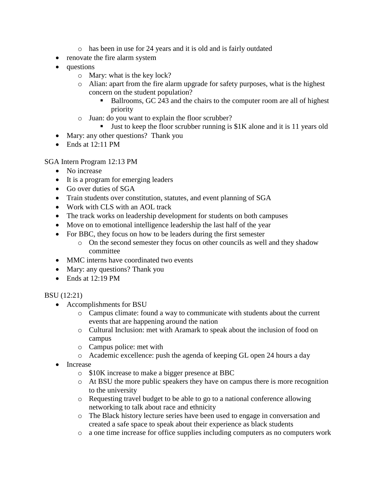- o has been in use for 24 years and it is old and is fairly outdated
- renovate the fire alarm system
- questions
	- o Mary: what is the key lock?
	- o Alian: apart from the fire alarm upgrade for safety purposes, what is the highest concern on the student population?
		- Ballrooms, GC 243 and the chairs to the computer room are all of highest priority
	- o Juan: do you want to explain the floor scrubber?
		- **•** Just to keep the floor scrubber running is  $$1K$  alone and it is 11 years old
- Mary: any other questions? Thank you
- Ends at 12:11 PM

SGA Intern Program 12:13 PM

- No increase
- It is a program for emerging leaders
- Go over duties of SGA
- Train students over constitution, statutes, and event planning of SGA
- Work with CLS with an AOL track
- The track works on leadership development for students on both campuses
- Move on to emotional intelligence leadership the last half of the year
- For BBC, they focus on how to be leaders during the first semester
	- o On the second semester they focus on other councils as well and they shadow committee
- MMC interns have coordinated two events
- Mary: any questions? Thank you
- Ends at 12:19 PM

### BSU (12:21)

- Accomplishments for BSU
	- o Campus climate: found a way to communicate with students about the current events that are happening around the nation
	- o Cultural Inclusion: met with Aramark to speak about the inclusion of food on campus
	- o Campus police: met with
	- o Academic excellence: push the agenda of keeping GL open 24 hours a day
- Increase
	- o \$10K increase to make a bigger presence at BBC
	- o At BSU the more public speakers they have on campus there is more recognition to the university
	- o Requesting travel budget to be able to go to a national conference allowing networking to talk about race and ethnicity
	- o The Black history lecture series have been used to engage in conversation and created a safe space to speak about their experience as black students
	- o a one time increase for office supplies including computers as no computers work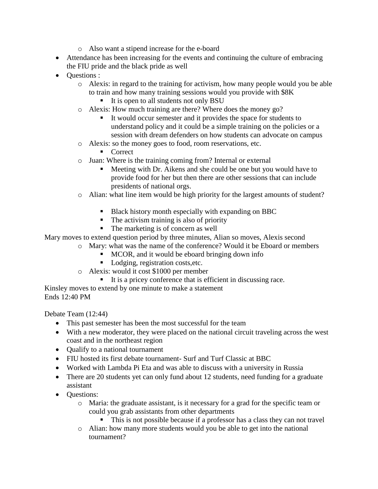- o Also want a stipend increase for the e-board
- Attendance has been increasing for the events and continuing the culture of embracing the FIU pride and the black pride as well
- Ouestions :
	- o Alexis: in regard to the training for activism, how many people would you be able to train and how many training sessions would you provide with \$8K
		- It is open to all students not only BSU
	- o Alexis: How much training are there? Where does the money go?
		- It would occur semester and it provides the space for students to understand policy and it could be a simple training on the policies or a session with dream defenders on how students can advocate on campus
	- o Alexis: so the money goes to food, room reservations, etc.
		- **Correct**
	- o Juan: Where is the training coming from? Internal or external
		- Meeting with Dr. Aikens and she could be one but you would have to provide food for her but then there are other sessions that can include presidents of national orgs.
	- o Alian: what line item would be high priority for the largest amounts of student?
		- Black history month especially with expanding on BBC
		- The activism training is also of priority
		- The marketing is of concern as well

Mary moves to extend question period by three minutes, Alian so moves, Alexis second

- o Mary: what was the name of the conference? Would it be Eboard or members
	- MCOR, and it would be eboard bringing down info
	- Lodging, registration costs, etc.
- o Alexis: would it cost \$1000 per member
	- It is a pricey conference that is efficient in discussing race.

Kinsley moves to extend by one minute to make a statement Ends 12:40 PM

Debate Team (12:44)

- This past semester has been the most successful for the team
- With a new moderator, they were placed on the national circuit traveling across the west coast and in the northeast region
- Qualify to a national tournament
- FIU hosted its first debate tournament- Surf and Turf Classic at BBC
- Worked with Lambda Pi Eta and was able to discuss with a university in Russia
- There are 20 students yet can only fund about 12 students, need funding for a graduate assistant
- Questions:
	- o Maria: the graduate assistant, is it necessary for a grad for the specific team or could you grab assistants from other departments
		- **This is not possible because if a professor has a class they can not travel**
	- o Alian: how many more students would you be able to get into the national tournament?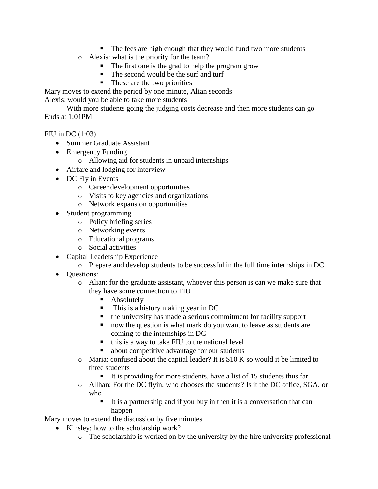- The fees are high enough that they would fund two more students
- o Alexis: what is the priority for the team?
	- The first one is the grad to help the program grow
	- The second would be the surf and turf
	- These are the two priorities

Mary moves to extend the period by one minute, Alian seconds

Alexis: would you be able to take more students

With more students going the judging costs decrease and then more students can go Ends at 1:01PM

FIU in DC (1:03)

- Summer Graduate Assistant
- Emergency Funding
	- o Allowing aid for students in unpaid internships
- Airfare and lodging for interview
- DC Fly in Events
	- o Career development opportunities
	- o Visits to key agencies and organizations
	- o Network expansion opportunities
- Student programming
	- o Policy briefing series
	- o Networking events
	- o Educational programs
	- o Social activities
- Capital Leadership Experience
	- o Prepare and develop students to be successful in the full time internships in DC
- Questions:
	- o Alian: for the graduate assistant, whoever this person is can we make sure that they have some connection to FIU
		- Absolutely
		- This is a history making year in DC
		- the university has made a serious commitment for facility support
		- now the question is what mark do you want to leave as students are coming to the internships in DC
		- $\blacksquare$  this is a way to take FIU to the national level
		- about competitive advantage for our students
	- o Maria: confused about the capital leader? It is \$10 K so would it be limited to three students
		- It is providing for more students, have a list of 15 students thus far
	- o Allhan: For the DC flyin, who chooses the students? Is it the DC office, SGA, or who
		- It is a partnership and if you buy in then it is a conversation that can happen

Mary moves to extend the discussion by five minutes

- Kinsley: how to the scholarship work?
	- o The scholarship is worked on by the university by the hire university professional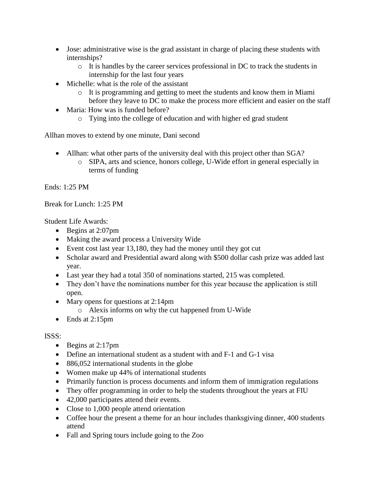- Jose: administrative wise is the grad assistant in charge of placing these students with internships?
	- o It is handles by the career services professional in DC to track the students in internship for the last four years
- Michelle: what is the role of the assistant
	- o It is programming and getting to meet the students and know them in Miami before they leave to DC to make the process more efficient and easier on the staff
- Maria: How was is funded before?
	- o Tying into the college of education and with higher ed grad student

Allhan moves to extend by one minute, Dani second

- Allhan: what other parts of the university deal with this project other than SGA?
	- o SIPA, arts and science, honors college, U-Wide effort in general especially in terms of funding

Ends: 1:25 PM

Break for Lunch: 1:25 PM

Student Life Awards:

- Begins at 2:07pm
- Making the award process a University Wide
- Event cost last year 13,180, they had the money until they got cut
- Scholar award and Presidential award along with \$500 dollar cash prize was added last year.
- Last year they had a total 350 of nominations started, 215 was completed.
- They don't have the nominations number for this year because the application is still open.
- Mary opens for questions at 2:14pm
	- o Alexis informs on why the cut happened from U-Wide
- Ends at 2:15pm

## ISSS:

- Begins at 2:17pm
- Define an international student as a student with and F-1 and G-1 visa
- 886,052 international students in the globe
- Women make up 44% of international students
- Primarily function is process documents and inform them of immigration regulations
- They offer programming in order to help the students throughout the years at FIU
- 42,000 participates attend their events.
- Close to 1,000 people attend orientation
- Coffee hour the present a theme for an hour includes thanksgiving dinner, 400 students attend
- Fall and Spring tours include going to the Zoo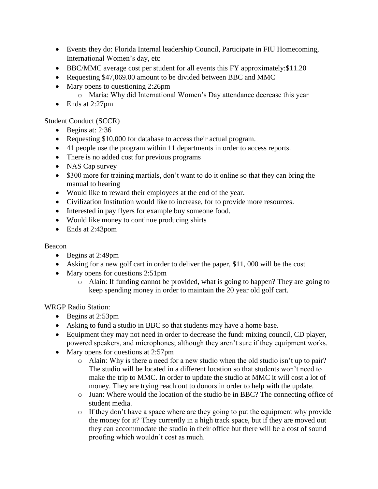- Events they do: Florida Internal leadership Council, Participate in FIU Homecoming, International Women's day, etc
- BBC/MMC average cost per student for all events this FY approximately: \$11.20
- Requesting \$47,069.00 amount to be divided between BBC and MMC
- Mary opens to questioning 2:26pm
	- o Maria: Why did International Women's Day attendance decrease this year
- Ends at 2:27pm

Student Conduct (SCCR)

- Begins at:  $2:36$
- Requesting \$10,000 for database to access their actual program.
- 41 people use the program within 11 departments in order to access reports.
- There is no added cost for previous programs
- NAS Cap survey
- \$300 more for training martials, don't want to do it online so that they can bring the manual to hearing
- Would like to reward their employees at the end of the year.
- Civilization Institution would like to increase, for to provide more resources.
- Interested in pay flyers for example buy someone food.
- Would like money to continue producing shirts
- Ends at 2:43pom

## Beacon

- Begins at 2:49pm
- Asking for a new golf cart in order to deliver the paper, \$11,000 will be the cost
- Mary opens for questions 2:51pm
	- o Alain: If funding cannot be provided, what is going to happen? They are going to keep spending money in order to maintain the 20 year old golf cart.

WRGP Radio Station:

- Begins at 2:53pm
- Asking to fund a studio in BBC so that students may have a home base.
- Equipment they may not need in order to decrease the fund: mixing council, CD player, powered speakers, and microphones; although they aren't sure if they equipment works.
- Mary opens for questions at 2:57pm
	- o Alain: Why is there a need for a new studio when the old studio isn't up to pair? The studio will be located in a different location so that students won't need to make the trip to MMC. In order to update the studio at MMC it will cost a lot of money. They are trying reach out to donors in order to help with the update.
	- o Juan: Where would the location of the studio be in BBC? The connecting office of student media.
	- $\circ$  If they don't have a space where are they going to put the equipment why provide the money for it? They currently in a high track space, but if they are moved out they can accommodate the studio in their office but there will be a cost of sound proofing which wouldn't cost as much.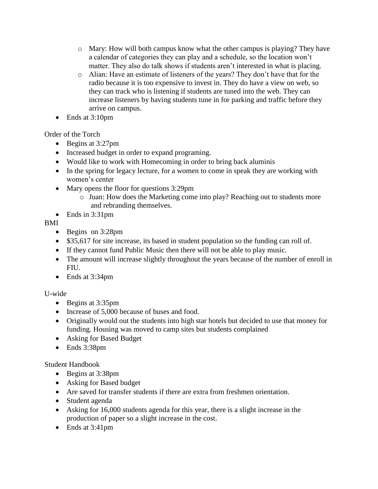- $\circ$  Mary: How will both campus know what the other campus is playing? They have a calendar of categories they can play and a schedule, so the location won't matter. They also do talk shows if students aren't interested in what is placing.
- o Alian: Have an estimate of listeners of the years? They don't have that for the radio because it is too expensive to invest in. They do have a view on web, so they can track who is listening if students are tuned into the web. They can increase listeners by having students tune in for parking and traffic before they arrive on campus.
- Ends at 3:10pm

Order of the Torch

- Begins at 3:27pm
- Increased budget in order to expand programing.
- Would like to work with Homecoming in order to bring back aluminis
- In the spring for legacy lecture, for a women to come in speak they are working with women's center
- Mary opens the floor for questions 3:29pm
	- o Juan: How does the Marketing come into play? Reaching out to students more and rebranding themselves.
- Ends in  $3:31$ pm

BMI

- Begins on 3:28pm
- \$35,617 for site increase, its based in student population so the funding can roll of.
- If they cannot fund Public Music then there will not be able to play music.
- The amount will increase slightly throughout the years because of the number of enroll in FIU.
- Ends at 3:34pm

U-wide

- Begins at 3:35pm
- Increase of 5,000 because of buses and food.
- Originally would out the students into high star hotels but decided to use that money for funding. Housing was moved to camp sites but students complained
- Asking for Based Budget
- Ends 3:38pm

Student Handbook

- Begins at 3:38pm
- Asking for Based budget
- Are saved for transfer students if there are extra from freshmen orientation.
- Student agenda
- Asking for 16,000 students agenda for this year, there is a slight increase in the production of paper so a slight increase in the cost.
- Ends at 3:41pm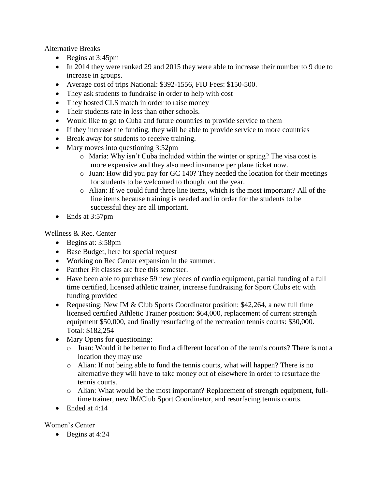Alternative Breaks

- Begins at 3:45pm
- In 2014 they were ranked 29 and 2015 they were able to increase their number to 9 due to increase in groups.
- Average cost of trips National: \$392-1556, FIU Fees: \$150-500.
- They ask students to fundraise in order to help with cost
- They hosted CLS match in order to raise money
- Their students rate in less than other schools.
- Would like to go to Cuba and future countries to provide service to them
- If they increase the funding, they will be able to provide service to more countries
- Break away for students to receive training.
- Mary moves into questioning 3:52pm
	- o Maria: Why isn't Cuba included within the winter or spring? The visa cost is more expensive and they also need insurance per plane ticket now.
	- o Juan: How did you pay for GC 140? They needed the location for their meetings for students to be welcomed to thought out the year.
	- o Alian: If we could fund three line items, which is the most important? All of the line items because training is needed and in order for the students to be successful they are all important.
- Ends at 3:57pm

Wellness & Rec. Center

- Begins at: 3:58pm
- Base Budget, here for special request
- Working on Rec Center expansion in the summer.
- Panther Fit classes are free this semester.
- Have been able to purchase 59 new pieces of cardio equipment, partial funding of a full time certified, licensed athletic trainer, increase fundraising for Sport Clubs etc with funding provided
- Requesting: New IM & Club Sports Coordinator position: \$42,264, a new full time licensed certified Athletic Trainer position: \$64,000, replacement of current strength equipment \$50,000, and finally resurfacing of the recreation tennis courts: \$30,000. Total: \$182,254
- Mary Opens for questioning:
	- o Juan: Would it be better to find a different location of the tennis courts? There is not a location they may use
	- o Alian: If not being able to fund the tennis courts, what will happen? There is no alternative they will have to take money out of elsewhere in order to resurface the tennis courts.
	- o Alian: What would be the most important? Replacement of strength equipment, fulltime trainer, new IM/Club Sport Coordinator, and resurfacing tennis courts.
- Ended at 4:14

## Women's Center

• Begins at 4:24